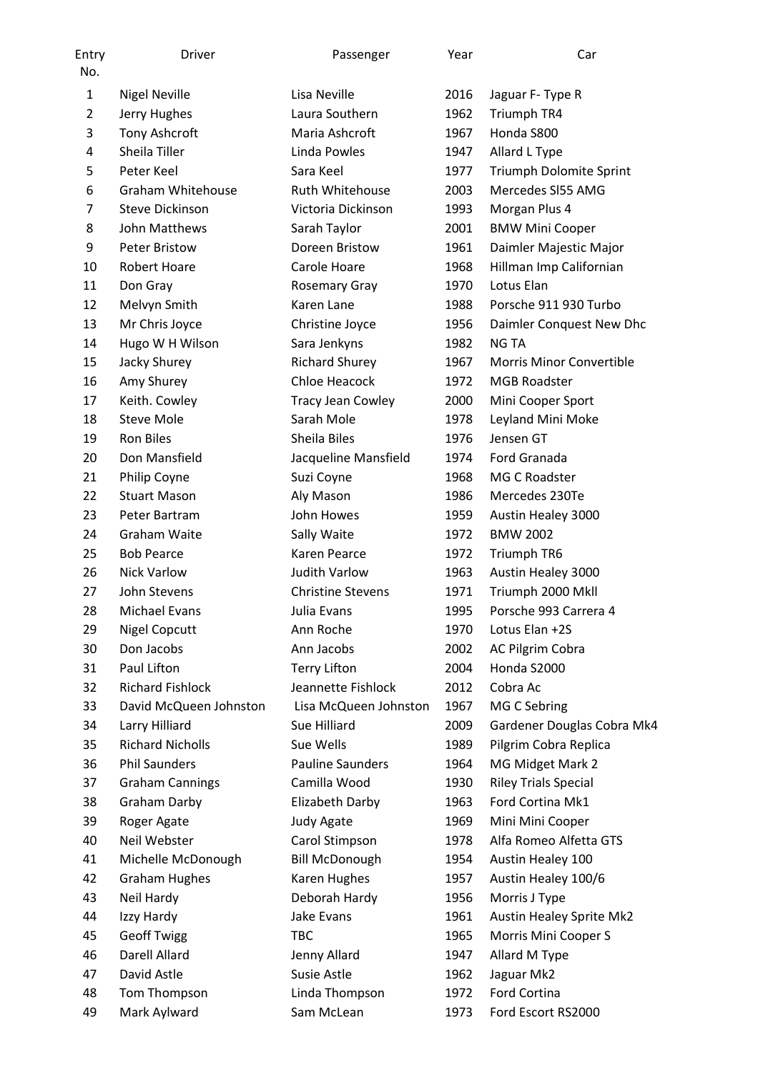| Entry<br>No.   | <b>Driver</b>            | Passenger                | Year | Car                             |
|----------------|--------------------------|--------------------------|------|---------------------------------|
| $\mathbf{1}$   | <b>Nigel Neville</b>     | Lisa Neville             | 2016 | Jaguar F- Type R                |
| $\overline{2}$ | Jerry Hughes             | Laura Southern           | 1962 | Triumph TR4                     |
| 3              | Tony Ashcroft            | Maria Ashcroft           | 1967 | Honda S800                      |
| 4              | Sheila Tiller            | Linda Powles             | 1947 | Allard L Type                   |
| 5              | Peter Keel               | Sara Keel                | 1977 | Triumph Dolomite Sprint         |
| 6              | <b>Graham Whitehouse</b> | Ruth Whitehouse          | 2003 | Mercedes SI55 AMG               |
| 7              | <b>Steve Dickinson</b>   | Victoria Dickinson       | 1993 | Morgan Plus 4                   |
| 8              | John Matthews            | Sarah Taylor             | 2001 | <b>BMW Mini Cooper</b>          |
| 9              | <b>Peter Bristow</b>     | Doreen Bristow           | 1961 | Daimler Majestic Major          |
| 10             | Robert Hoare             | Carole Hoare             | 1968 | Hillman Imp Californian         |
| 11             | Don Gray                 | <b>Rosemary Gray</b>     | 1970 | Lotus Elan                      |
| 12             | Melvyn Smith             | Karen Lane               | 1988 | Porsche 911 930 Turbo           |
| 13             | Mr Chris Joyce           | Christine Joyce          | 1956 | Daimler Conquest New Dhc        |
| 14             | Hugo W H Wilson          | Sara Jenkyns             | 1982 | <b>NG TA</b>                    |
| 15             | Jacky Shurey             | <b>Richard Shurey</b>    | 1967 | <b>Morris Minor Convertible</b> |
| 16             | Amy Shurey               | Chloe Heacock            | 1972 | <b>MGB Roadster</b>             |
| 17             | Keith. Cowley            | <b>Tracy Jean Cowley</b> | 2000 | Mini Cooper Sport               |
| 18             | <b>Steve Mole</b>        | Sarah Mole               | 1978 | Leyland Mini Moke               |
| 19             | <b>Ron Biles</b>         | Sheila Biles             | 1976 | Jensen GT                       |
| 20             | Don Mansfield            | Jacqueline Mansfield     | 1974 | Ford Granada                    |
| 21             | Philip Coyne             | Suzi Coyne               | 1968 | MG C Roadster                   |
| 22             | <b>Stuart Mason</b>      | Aly Mason                | 1986 | Mercedes 230Te                  |
| 23             | Peter Bartram            | John Howes               | 1959 | Austin Healey 3000              |
| 24             | Graham Waite             | Sally Waite              | 1972 | <b>BMW 2002</b>                 |
| 25             | <b>Bob Pearce</b>        | Karen Pearce             | 1972 | Triumph TR6                     |
| 26             | <b>Nick Varlow</b>       | <b>Judith Varlow</b>     | 1963 | Austin Healey 3000              |
| 27             | John Stevens             | <b>Christine Stevens</b> | 1971 | Triumph 2000 Mkll               |
| 28             | <b>Michael Evans</b>     | Julia Evans              | 1995 | Porsche 993 Carrera 4           |
| 29             | <b>Nigel Copcutt</b>     | Ann Roche                | 1970 | Lotus Elan +2S                  |
| 30             | Don Jacobs               | Ann Jacobs               | 2002 | AC Pilgrim Cobra                |
| 31             | Paul Lifton              | <b>Terry Lifton</b>      | 2004 | Honda S2000                     |
| 32             | <b>Richard Fishlock</b>  | Jeannette Fishlock       | 2012 | Cobra Ac                        |
| 33             | David McQueen Johnston   | Lisa McQueen Johnston    | 1967 | MG C Sebring                    |
| 34             | Larry Hilliard           | Sue Hilliard             | 2009 | Gardener Douglas Cobra Mk4      |
| 35             | <b>Richard Nicholls</b>  | Sue Wells                | 1989 | Pilgrim Cobra Replica           |
| 36             | <b>Phil Saunders</b>     | <b>Pauline Saunders</b>  | 1964 | MG Midget Mark 2                |
| 37             | <b>Graham Cannings</b>   | Camilla Wood             | 1930 | <b>Riley Trials Special</b>     |
| 38             | <b>Graham Darby</b>      | Elizabeth Darby          | 1963 | Ford Cortina Mk1                |
| 39             | Roger Agate              | Judy Agate               | 1969 | Mini Mini Cooper                |
| 40             | Neil Webster             | Carol Stimpson           | 1978 | Alfa Romeo Alfetta GTS          |
| 41             | Michelle McDonough       | <b>Bill McDonough</b>    | 1954 | Austin Healey 100               |
| 42             | <b>Graham Hughes</b>     | Karen Hughes             | 1957 | Austin Healey 100/6             |
| 43             | Neil Hardy               | Deborah Hardy            | 1956 | Morris J Type                   |
| 44             | Izzy Hardy               | Jake Evans               | 1961 | Austin Healey Sprite Mk2        |
| 45             | <b>Geoff Twigg</b>       | <b>TBC</b>               | 1965 | Morris Mini Cooper S            |
| 46             | Darell Allard            | Jenny Allard             | 1947 | Allard M Type                   |
| 47             | David Astle              | Susie Astle              | 1962 | Jaguar Mk2                      |
| 48             | Tom Thompson             | Linda Thompson           | 1972 | Ford Cortina                    |
| 49             | Mark Aylward             | Sam McLean               | 1973 | Ford Escort RS2000              |